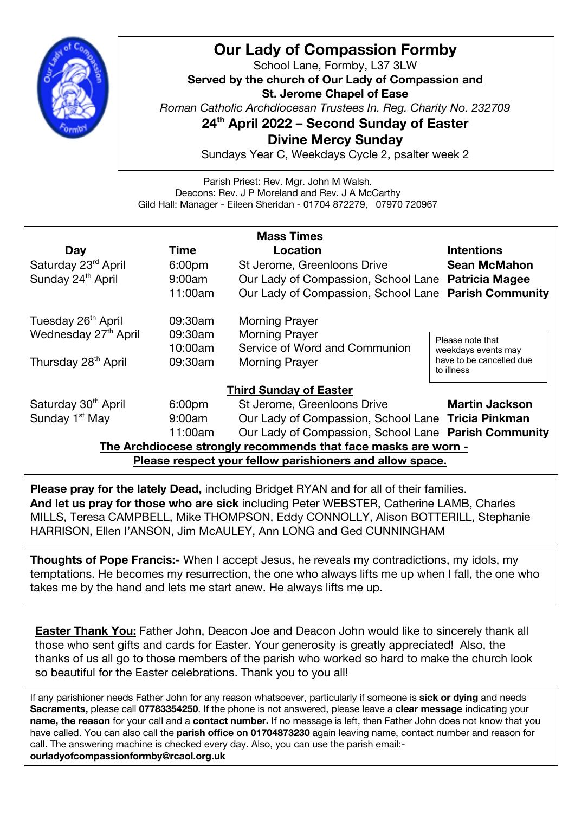

## **Our Lady of Compassion Formby**

School Lane, Formby, L37 3LW **Served by the church of Our Lady of Compassion and St. Jerome Chapel of Ease** *Roman Catholic Archdiocesan Trustees In. Reg. Charity No. 232709* **24th April 2022 – Second Sunday of Easter Divine Mercy Sunday**

Sundays Year C, Weekdays Cycle 2, psalter week 2

Parish Priest: Rev. Mgr. John M Walsh. Deacons: Rev. J P Moreland and Rev. J A McCarthy Gild Hall: Manager - Eileen Sheridan - 01704 872279, 07970 720967

| <b>Mass Times</b>                                              |                    |                                                      |                                        |
|----------------------------------------------------------------|--------------------|------------------------------------------------------|----------------------------------------|
| Day                                                            | Time               | Location                                             | <b>Intentions</b>                      |
| Saturday 23rd April                                            | 6:00 <sub>pm</sub> | St Jerome, Greenloons Drive                          | <b>Sean McMahon</b>                    |
| Sunday 24 <sup>th</sup> April                                  | 9:00am             | Our Lady of Compassion, School Lane Patricia Magee   |                                        |
|                                                                | 11:00am            | Our Lady of Compassion, School Lane Parish Community |                                        |
| Tuesday 26 <sup>th</sup> April                                 | 09:30am            | <b>Morning Prayer</b>                                |                                        |
| Wednesday 27 <sup>th</sup> April                               | 09:30am            | <b>Morning Prayer</b>                                | Please note that                       |
|                                                                | 10:00am            | Service of Word and Communion                        | weekdays events may                    |
| Thursday 28 <sup>th</sup> April                                | 09:30am            | <b>Morning Prayer</b>                                | have to be cancelled due<br>to illness |
| <b>Third Sunday of Easter</b>                                  |                    |                                                      |                                        |
| Saturday 30 <sup>th</sup> April                                | 6:00 <sub>pm</sub> | St Jerome, Greenloons Drive                          | <b>Martin Jackson</b>                  |
| Sunday 1 <sup>st</sup> May                                     | 9:00am             | Our Lady of Compassion, School Lane Tricia Pinkman   |                                        |
|                                                                | 11:00am            | Our Lady of Compassion, School Lane Parish Community |                                        |
| The Archdiocese strongly recommends that face masks are worn - |                    |                                                      |                                        |

**Please respect your fellow parishioners and allow space.**

**Please pray for the lately Dead,** including Bridget RYAN and for all of their families. **And let us pray for those who are sick** including Peter WEBSTER, Catherine LAMB, Charles MILLS, Teresa CAMPBELL, Mike THOMPSON, Eddy CONNOLLY, Alison BOTTERILL, Stephanie HARRISON, Ellen I'ANSON, Jim McAULEY, Ann LONG and Ged CUNNINGHAM

**Thoughts of Pope Francis:-** When I accept Jesus, he reveals my contradictions, my idols, my temptations. He becomes my resurrection, the one who always lifts me up when I fall, the one who takes me by the hand and lets me start anew. He always lifts me up.

**Easter Thank You:** Father John, Deacon Joe and Deacon John would like to sincerely thank all those who sent gifts and cards for Easter. Your generosity is greatly appreciated! Also, the thanks of us all go to those members of the parish who worked so hard to make the church look so beautiful for the Easter celebrations. Thank you to you all!

If any parishioner needs Father John for any reason whatsoever, particularly if someone is **sick or dying** and needs **Sacraments,** please call **07783354250**. If the phone is not answered, please leave a **clear message** indicating your **name, the reason** for your call and a **contact number.** If no message is left, then Father John does not know that you have called. You can also call the **parish office on 01704873230** again leaving name, contact number and reason for call. The answering machine is checked every day. Also, you can use the parish email: **ourladyofcompassionformby@rcaol.org.uk**